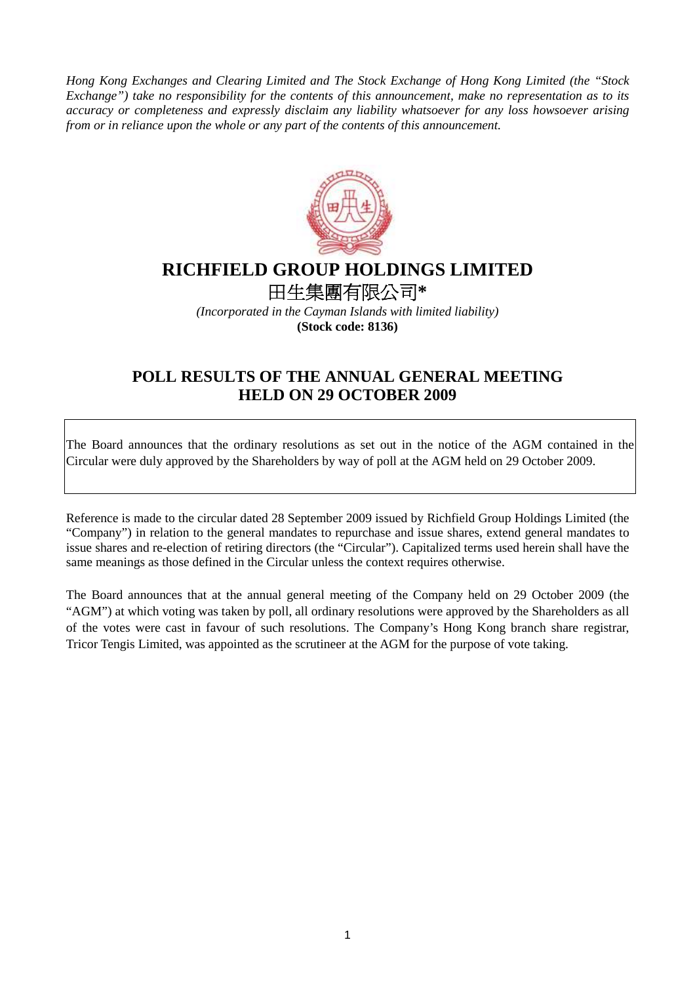*Hong Kong Exchanges and Clearing Limited and The Stock Exchange of Hong Kong Limited (the "Stock Exchange") take no responsibility for the contents of this announcement, make no representation as to its accuracy or completeness and expressly disclaim any liability whatsoever for any loss howsoever arising from or in reliance upon the whole or any part of the contents of this announcement.* 



## **RICHFIELD GROUP HOLDINGS LIMITED**  田生集團有限公司**\***

*(Incorporated in the Cayman Islands with limited liability)*  **(Stock code: 8136)**

## **POLL RESULTS OF THE ANNUAL GENERAL MEETING HELD ON 29 OCTOBER 2009**

The Board announces that the ordinary resolutions as set out in the notice of the AGM contained in the Circular were duly approved by the Shareholders by way of poll at the AGM held on 29 October 2009.

Reference is made to the circular dated 28 September 2009 issued by Richfield Group Holdings Limited (the "Company") in relation to the general mandates to repurchase and issue shares, extend general mandates to issue shares and re-election of retiring directors (the "Circular"). Capitalized terms used herein shall have the same meanings as those defined in the Circular unless the context requires otherwise.

The Board announces that at the annual general meeting of the Company held on 29 October 2009 (the "AGM") at which voting was taken by poll, all ordinary resolutions were approved by the Shareholders as all of the votes were cast in favour of such resolutions. The Company's Hong Kong branch share registrar, Tricor Tengis Limited, was appointed as the scrutineer at the AGM for the purpose of vote taking.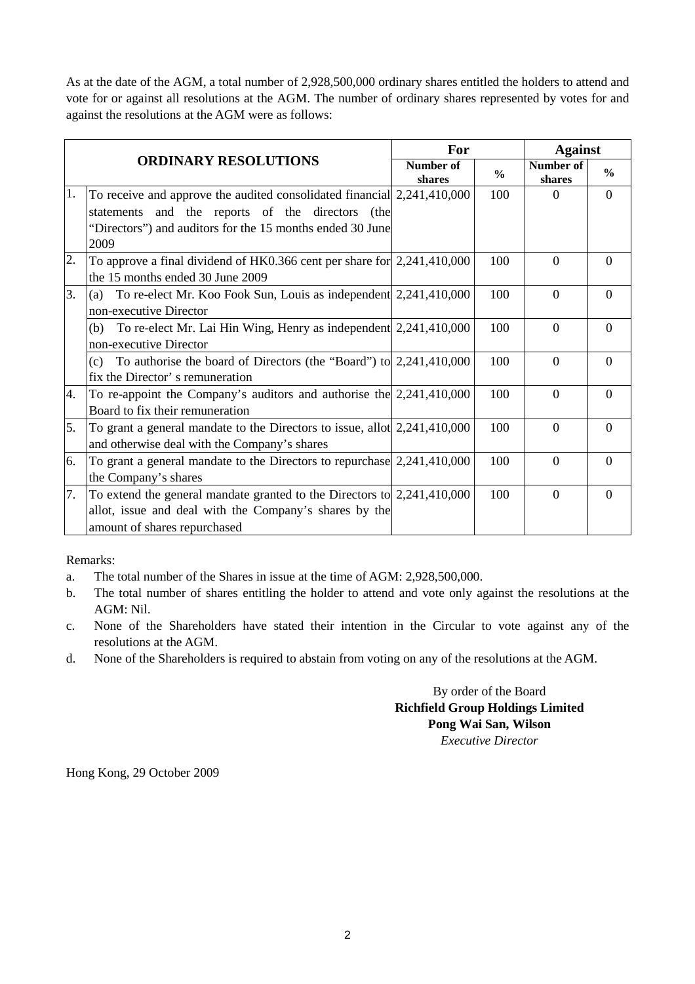As at the date of the AGM, a total number of 2,928,500,000 ordinary shares entitled the holders to attend and vote for or against all resolutions at the AGM. The number of ordinary shares represented by votes for and against the resolutions at the AGM were as follows:

| <b>ORDINARY RESOLUTIONS</b> |                                                                           | For                 |               | <b>Against</b>      |               |
|-----------------------------|---------------------------------------------------------------------------|---------------------|---------------|---------------------|---------------|
|                             |                                                                           | Number of<br>shares | $\frac{0}{0}$ | Number of<br>shares | $\frac{0}{0}$ |
| 1.                          | To receive and approve the audited consolidated financial 2,241,410,000   |                     | 100           | $\Omega$            | $\Omega$      |
|                             | statements and the reports of the directors (the                          |                     |               |                     |               |
|                             | "Directors") and auditors for the 15 months ended 30 June                 |                     |               |                     |               |
|                             | 2009                                                                      |                     |               |                     |               |
| 2.                          | To approve a final dividend of HK0.366 cent per share for 2,241,410,000   |                     | 100           | $\theta$            | $\theta$      |
|                             | the 15 months ended 30 June 2009                                          |                     |               |                     |               |
| 3.                          | To re-elect Mr. Koo Fook Sun, Louis as independent 2,241,410,000<br>(a)   |                     | 100           | $\Omega$            | $\Omega$      |
|                             | non-executive Director                                                    |                     |               |                     |               |
|                             | (b) To re-elect Mr. Lai Hin Wing, Henry as independent 2,241,410,000      |                     | 100           | $\Omega$            | $\theta$      |
|                             | non-executive Director                                                    |                     |               |                     |               |
|                             | To authorise the board of Directors (the "Board") to 2,241,410,000<br>(c) |                     | 100           | $\Omega$            | $\Omega$      |
|                             | fix the Director' s remuneration                                          |                     |               |                     |               |
| 4.                          | To re-appoint the Company's auditors and authorise the 2,241,410,000      |                     | 100           | $\Omega$            | $\Omega$      |
|                             | Board to fix their remuneration                                           |                     |               |                     |               |
| 5.                          | To grant a general mandate to the Directors to issue, allot 2,241,410,000 |                     | 100           | $\Omega$            | $\Omega$      |
|                             | and otherwise deal with the Company's shares                              |                     |               |                     |               |
| 6.                          | To grant a general mandate to the Directors to repurchase 2,241,410,000   |                     | 100           | $\Omega$            | $\Omega$      |
|                             | the Company's shares                                                      |                     |               |                     |               |
| 7.                          | To extend the general mandate granted to the Directors to $2,241,410,000$ |                     | 100           | $\theta$            | $\Omega$      |
|                             | allot, issue and deal with the Company's shares by the                    |                     |               |                     |               |
|                             | amount of shares repurchased                                              |                     |               |                     |               |

Remarks:

a. The total number of the Shares in issue at the time of AGM: 2,928,500,000.

- b. The total number of shares entitling the holder to attend and vote only against the resolutions at the AGM: Nil.
- c. None of the Shareholders have stated their intention in the Circular to vote against any of the resolutions at the AGM.
- d. None of the Shareholders is required to abstain from voting on any of the resolutions at the AGM.

## By order of the Board **Richfield Group Holdings Limited Pong Wai San, Wilson**  *Executive Director*

Hong Kong, 29 October 2009